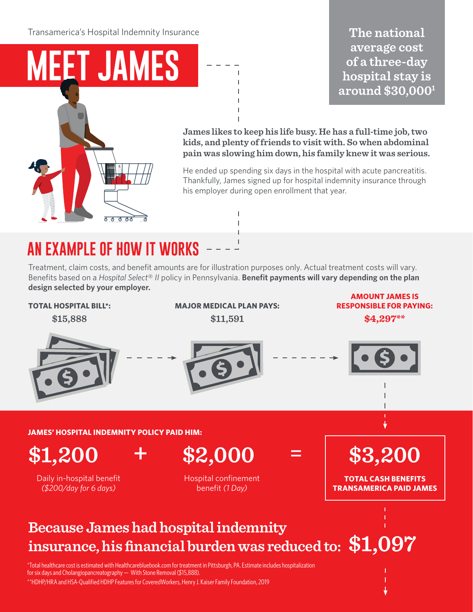Transamerica's Hospital Indemnity Insurance

# **MEET JAMES**

## The national average cost of a three-day hospital stay is around \$30,000<sup>1</sup>



**James likes to keep his life busy. He has a full-time job, two kids, and plenty of friends to visit with. So when abdominal pain was slowing him down, his family knew it was serious.** 

He ended up spending six days in the hospital with acute pancreatitis. Thankfully, James signed up for hospital indemnity insurance through his employer during open enrollment that year.

## **AN EXAMPLE OF HOW IT WORKS**

Treatment, claim costs, and benefit amounts are for illustration purposes only. Actual treatment costs will vary. Benefits based on a *Hospital Select*® *II* policy in Pennsylvania. **Benefit payments will vary depending on the plan design selected by your employer.**